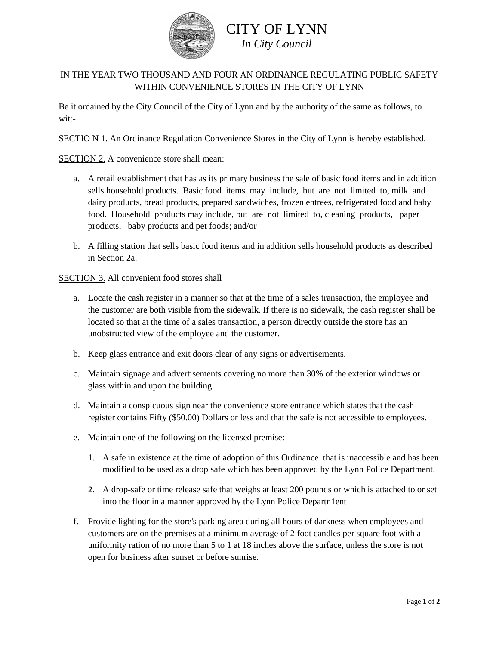

## CITY OF LYNN *In City Council*

## IN THE YEAR TWO THOUSAND AND FOUR AN ORDINANCE REGULATING PUBLIC SAFETY WITHIN CONVENIENCE STORES IN THE CITY OF LYNN

Be it ordained by the City Council of the City of Lynn and by the authority of the same as follows, to wit:-

SECTIO N 1. An Ordinance Regulation Convenience Stores in the City of Lynn is hereby established.

SECTION 2. A convenience store shall mean:

- a. A retail establishment that has as its primary business the sale of basic food items and in addition sells household products. Basic food items may include, but are not limited to, milk and dairy products, bread products, prepared sandwiches, frozen entrees, refrigerated food and baby food. Household products may include, but are not limited to, cleaning products, paper products, baby products and pet foods; and/or
- b. A filling station that sells basic food items and in addition sells household products as described in Section 2a.

SECTION 3. All convenient food stores shall

- a. Locate the cash register in a manner so that at the time of a sales transaction, the employee and the customer are both visible from the sidewalk. If there is no sidewalk, the cash register shall be located so that at the time of a sales transaction, a person directly outside the store has an unobstructed view of the employee and the customer.
- b. Keep glass entrance and exit doors clear of any signs or advertisements.
- c. Maintain signage and advertisements covering no more than 30% of the exterior windows or glass within and upon the building.
- d. Maintain a conspicuous sign near the convenience store entrance which states that the cash register contains Fifty (\$50.00) Dollars or less and that the safe is not accessible to employees.
- e. Maintain one of the following on the licensed premise:
	- 1. A safe in existence at the time of adoption of this Ordinance that is inaccessible and has been modified to be used as a drop safe which has been approved by the Lynn Police Department.
	- 2. A drop-safe or time release safe that weighs at least 200 pounds or which is attached to or set into the floor in a manner approved by the Lynn Police Departn1ent
- f. Provide lighting for the store's parking area during all hours of darkness when employees and customers are on the premises at a minimum average of 2 foot candles per square foot with a uniformity ration of no more than 5 to 1 at 18 inches above the surface, unless the store is not open for business after sunset or before sunrise.